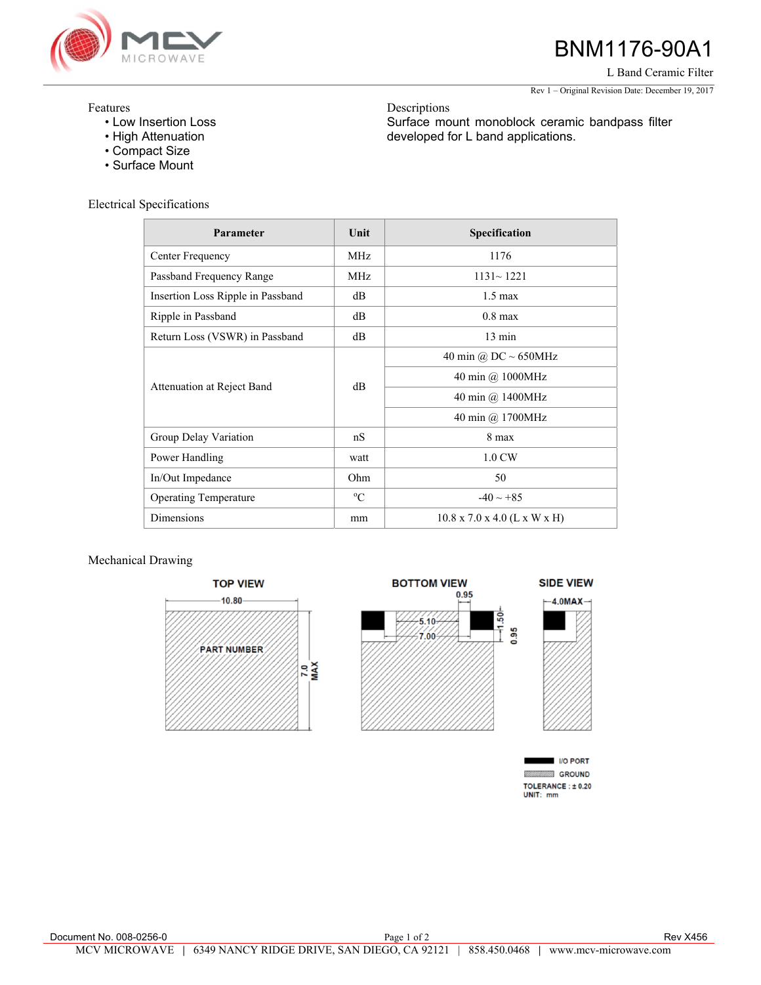

## BNM1176-90A1

L Band Ceramic Filter

Rev 1 – Original Revision Date: December 19, 2017

## Features

- Low Insertion Loss
- High Attenuation
- Compact Size
- Surface Mount

Electrical Specifications

| Parameter                         | Unit        | Specification                            |
|-----------------------------------|-------------|------------------------------------------|
| Center Frequency                  | MHz         | 1176                                     |
| Passband Frequency Range          | MHz         | $1131 - 1221$                            |
| Insertion Loss Ripple in Passband | dВ          | $1.5 \text{ max}$                        |
| Ripple in Passband                | dВ          | $0.8$ max                                |
| Return Loss (VSWR) in Passband    | dВ          | $13 \text{ min}$                         |
| Attenuation at Reject Band        | $\text{dB}$ | 40 min @ $DC \sim 650MHz$                |
|                                   |             | 40 min @ 1000MHz                         |
|                                   |             | 40 min @ 1400MHz                         |
|                                   |             | 40 min @ 1700MHz                         |
| Group Delay Variation             | nS          | 8 max                                    |
| Power Handling                    | watt        | 1.0 CW                                   |
| In/Out Impedance                  | Ohm         | 50                                       |
| <b>Operating Temperature</b>      | $^{\circ}C$ | $-40 \sim +85$                           |
| Dimensions                        | mm          | $10.8 \times 7.0 \times 4.0$ (L x W x H) |

## Mechanical Drawing





Descriptions Surface mount monoblock ceramic bandpass filter developed for L band applications.